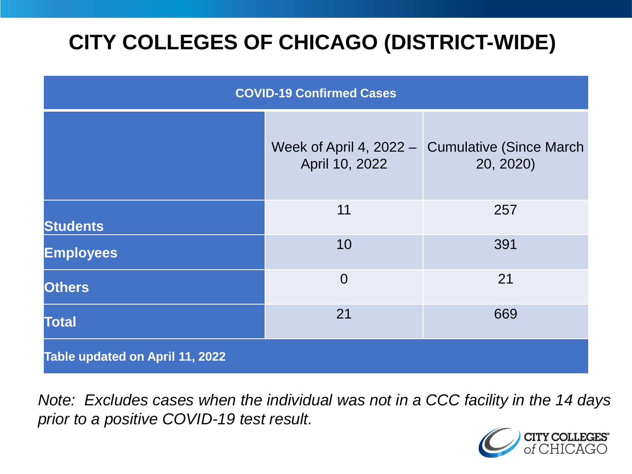# **CITY COLLEGES OF CHICAGO (DISTRICT-WIDE)**

| <b>COVID-19 Confirmed Cases</b> |                                             |                                              |
|---------------------------------|---------------------------------------------|----------------------------------------------|
|                                 | Week of April 4, $2022 -$<br>April 10, 2022 | <b>Cumulative (Since March)</b><br>20, 2020) |
| <b>Students</b>                 | 11                                          | 257                                          |
| <b>Employees</b>                | 10                                          | 391                                          |
| <b>Others</b>                   | $\overline{0}$                              | 21                                           |
| <b>Total</b>                    | 21                                          | 669                                          |
| Table updated on April 11, 2022 |                                             |                                              |

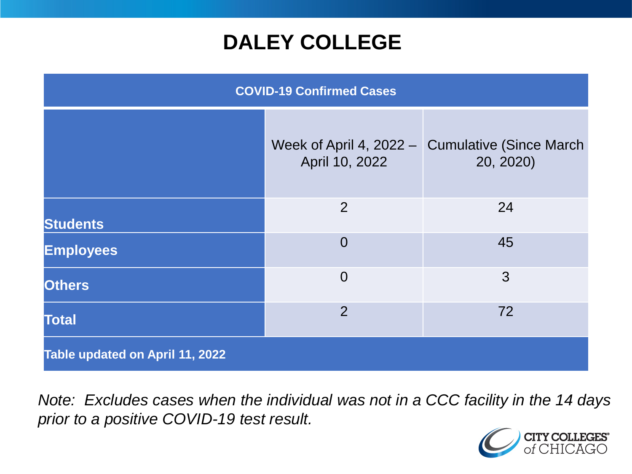### **DALEY COLLEGE**

| <b>COVID-19 Confirmed Cases</b> |                                             |                                             |
|---------------------------------|---------------------------------------------|---------------------------------------------|
|                                 | Week of April 4, $2022 -$<br>April 10, 2022 | <b>Cumulative (Since March</b><br>20, 2020) |
| <b>Students</b>                 | 2                                           | 24                                          |
| <b>Employees</b>                | $\overline{0}$                              | 45                                          |
| <b>Others</b>                   | $\overline{0}$                              | 3                                           |
| <b>Total</b>                    | $\overline{2}$                              | 72                                          |
| Table updated on April 11, 2022 |                                             |                                             |

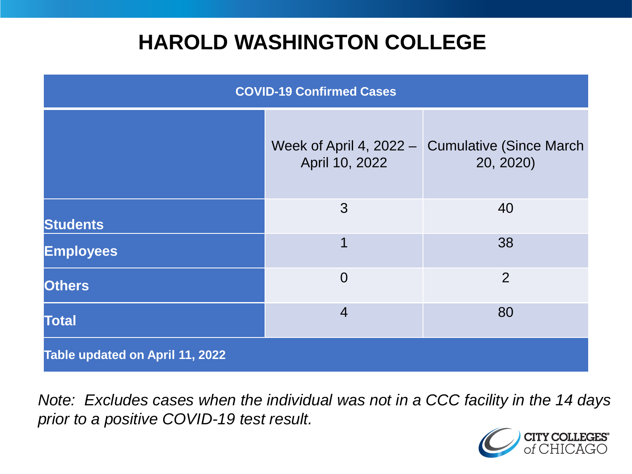### **HAROLD WASHINGTON COLLEGE**

| <b>COVID-19 Confirmed Cases</b> |                                             |                                              |
|---------------------------------|---------------------------------------------|----------------------------------------------|
|                                 | Week of April 4, $2022 -$<br>April 10, 2022 | <b>Cumulative (Since March)</b><br>20, 2020) |
| <b>Students</b>                 | 3                                           | 40                                           |
| <b>Employees</b>                | 1                                           | 38                                           |
| <b>Others</b>                   | $\overline{0}$                              | $\overline{2}$                               |
| <b>Total</b>                    | $\overline{4}$                              | 80                                           |
| Table updated on April 11, 2022 |                                             |                                              |

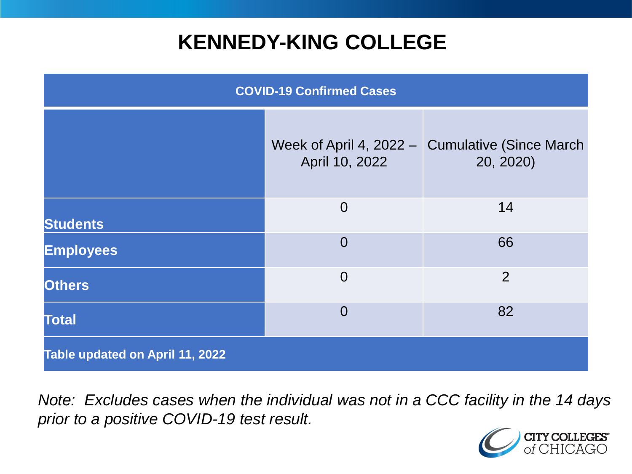### **KENNEDY-KING COLLEGE**

| <b>COVID-19 Confirmed Cases</b> |                                             |                                              |
|---------------------------------|---------------------------------------------|----------------------------------------------|
|                                 | Week of April 4, $2022 -$<br>April 10, 2022 | <b>Cumulative (Since March)</b><br>20, 2020) |
| <b>Students</b>                 | $\overline{0}$                              | 14                                           |
| <b>Employees</b>                | $\overline{0}$                              | 66                                           |
| <b>Others</b>                   | $\overline{0}$                              | 2                                            |
| <b>Total</b>                    | $\overline{0}$                              | 82                                           |
| Table updated on April 11, 2022 |                                             |                                              |

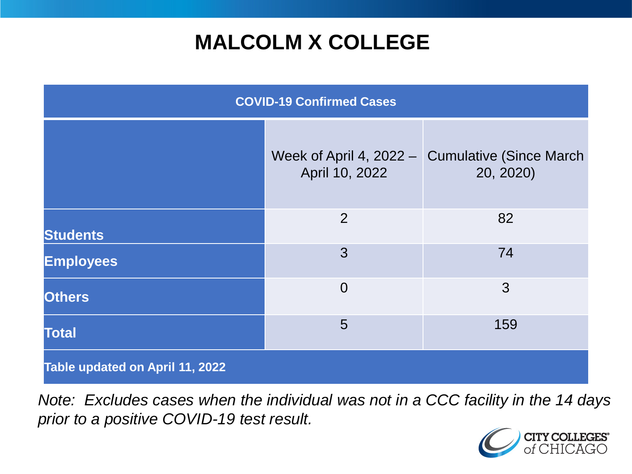## **MALCOLM X COLLEGE**

| <b>COVID-19 Confirmed Cases</b> |                                             |                                              |
|---------------------------------|---------------------------------------------|----------------------------------------------|
|                                 | Week of April 4, $2022 -$<br>April 10, 2022 | <b>Cumulative (Since March)</b><br>20, 2020) |
| <b>Students</b>                 | $\overline{2}$                              | 82                                           |
| <b>Employees</b>                | 3                                           | 74                                           |
| <b>Others</b>                   | $\overline{0}$                              | 3                                            |
| <b>Total</b>                    | 5                                           | 159                                          |
| Table updated on April 11, 2022 |                                             |                                              |

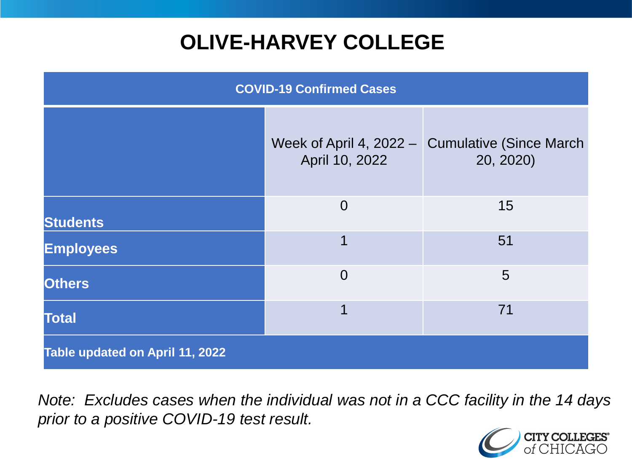# **OLIVE-HARVEY COLLEGE**

| <b>COVID-19 Confirmed Cases</b> |                                             |                                              |
|---------------------------------|---------------------------------------------|----------------------------------------------|
|                                 | Week of April 4, $2022 -$<br>April 10, 2022 | <b>Cumulative (Since March)</b><br>20, 2020) |
| <b>Students</b>                 | $\overline{0}$                              | 15                                           |
| <b>Employees</b>                | 1                                           | 51                                           |
| <b>Others</b>                   | $\overline{0}$                              | 5                                            |
| <b>Total</b>                    | 1                                           | 71                                           |
| Table updated on April 11, 2022 |                                             |                                              |

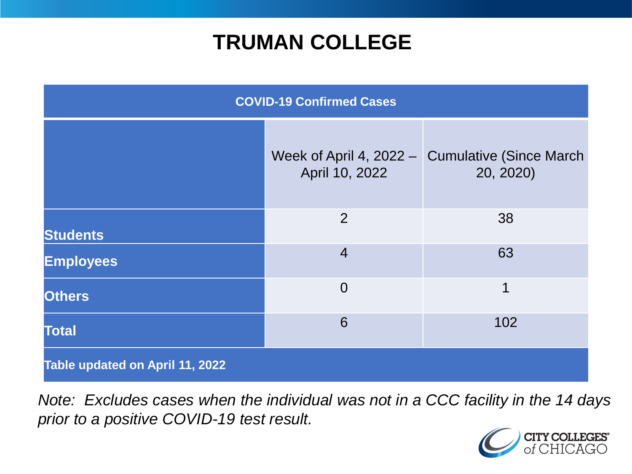### **TRUMAN COLLEGE**

| <b>COVID-19 Confirmed Cases</b> |                                             |                                              |
|---------------------------------|---------------------------------------------|----------------------------------------------|
|                                 | Week of April 4, $2022 -$<br>April 10, 2022 | <b>Cumulative (Since March)</b><br>20, 2020) |
| <b>Students</b>                 | $\overline{2}$                              | 38                                           |
| <b>Employees</b>                | $\overline{4}$                              | 63                                           |
| <b>Others</b>                   | $\overline{0}$                              | 1                                            |
| <b>Total</b>                    | 6                                           | 102                                          |
| Table updated on April 11, 2022 |                                             |                                              |

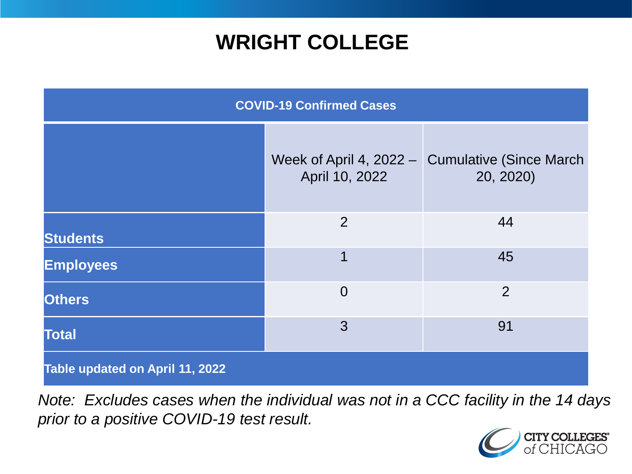### **WRIGHT COLLEGE**

| <b>COVID-19 Confirmed Cases</b> |                                               |                                              |
|---------------------------------|-----------------------------------------------|----------------------------------------------|
|                                 | Week of April 4, $2022 - 1$<br>April 10, 2022 | <b>Cumulative (Since March)</b><br>20, 2020) |
| <b>Students</b>                 | $\overline{2}$                                | 44                                           |
| <b>Employees</b>                | 1                                             | 45                                           |
| <b>Others</b>                   | $\overline{0}$                                | $\overline{2}$                               |
| <b>Total</b>                    | 3                                             | 91                                           |
| Table updated on April 11, 2022 |                                               |                                              |

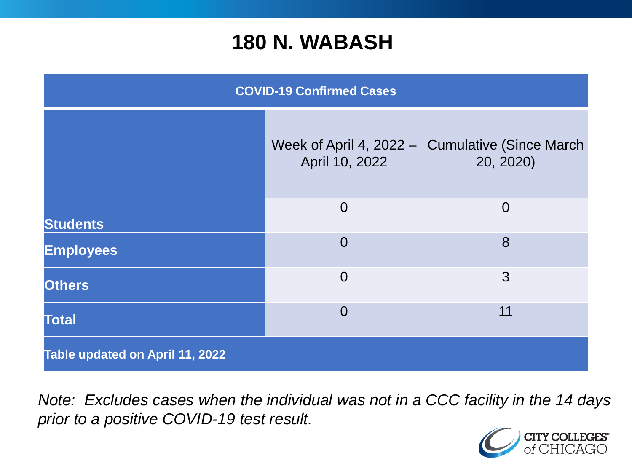#### **180 N. WABASH**

| <b>COVID-19 Confirmed Cases</b> |                                             |                                              |
|---------------------------------|---------------------------------------------|----------------------------------------------|
|                                 | Week of April 4, $2022 -$<br>April 10, 2022 | <b>Cumulative (Since March)</b><br>20, 2020) |
| <b>Students</b>                 | $\overline{0}$                              | $\overline{0}$                               |
| <b>Employees</b>                | $\overline{0}$                              | 8                                            |
| <b>Others</b>                   | $\overline{0}$                              | 3                                            |
| <b>Total</b>                    | $\overline{0}$                              | 11                                           |
| Table updated on April 11, 2022 |                                             |                                              |